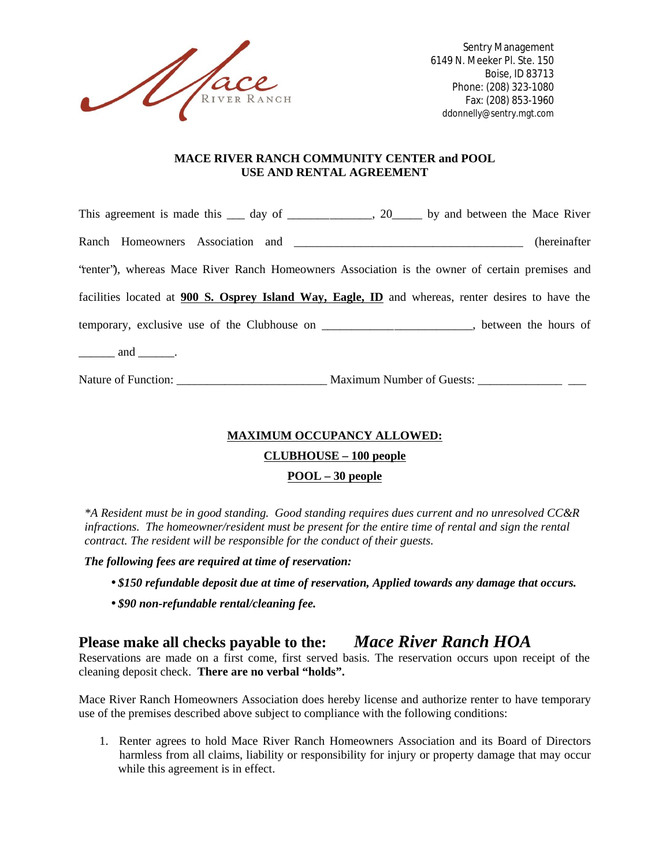

Sentry Management 6149 N. Meeker Pl. Ste. 150 Boise, ID 83713 Phone: (208) 323-1080 Fax: (208) 853-1960 ddonnelly@sentry.mgt.com

#### **MACE RIVER RANCH COMMUNITY CENTER and POOL USE AND RENTAL AGREEMENT**

|                                                                           | This agreement is made this <u>equal</u> day of <u>equal controller by</u> and between the Mace River |
|---------------------------------------------------------------------------|-------------------------------------------------------------------------------------------------------|
|                                                                           | (hereinafter)                                                                                         |
|                                                                           | "tenter"), whereas Mace River Ranch Homeowners Association is the owner of certain premises and       |
|                                                                           | facilities located at 900 S. Osprey Island Way, Eagle, ID and whereas, renter desires to have the     |
|                                                                           | temporary, exclusive use of the Clubhouse on _______________________, between the hours of            |
| $\frac{1}{\sqrt{1-\frac{1}{2}}}\$ and $\frac{1}{\sqrt{1-\frac{1}{2}}}\$ . |                                                                                                       |
| Nature of Function:                                                       | <b>Maximum Number of Guests:</b>                                                                      |

### **MAXIMUM OCCUPANCY ALLOWED:**

#### **CLUBHOUSE – 100 people**

### **POOL – 30 people**

*\*A Resident must be in good standing. Good standing requires dues current and no unresolved CC&R infractions. The homeowner/resident must be present for the entire time of rental and sign the rental contract. The resident will be responsible for the conduct of their guests.*

*The following fees are required at time of reservation:*

- *\$150 refundable deposit due at time of reservation, Applied towards any damage that occurs.*
- *\$90 non-refundable rental/cleaning fee.*

# **Please make all checks payable to the:** *Mace River Ranch HOA*

Reservations are made on a first come, first served basis. The reservation occurs upon receipt of the cleaning deposit check. **There are no verbal "holds".**

Mace River Ranch Homeowners Association does hereby license and authorize renter to have temporary use of the premises described above subject to compliance with the following conditions:

1. Renter agrees to hold Mace River Ranch Homeowners Association and its Board of Directors harmless from all claims, liability or responsibility for injury or property damage that may occur while this agreement is in effect.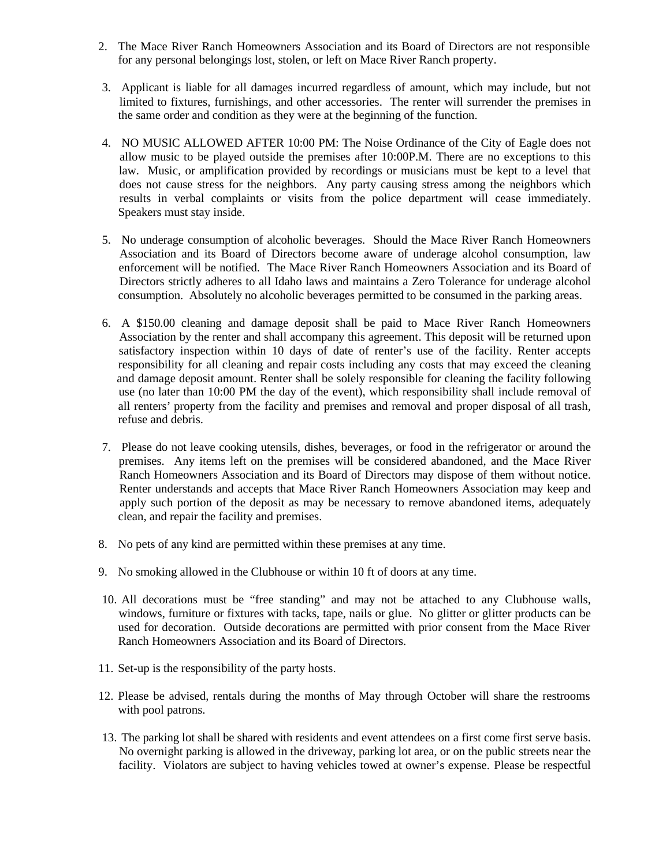- 2. The Mace River Ranch Homeowners Association and its Board of Directors are not responsible for any personal belongings lost, stolen, or left on Mace River Ranch property.
- 3. Applicant is liable for all damages incurred regardless of amount, which may include, but not limited to fixtures, furnishings, and other accessories. The renter will surrender the premises in the same order and condition as they were at the beginning of the function.
- 4. NO MUSIC ALLOWED AFTER 10:00 PM: The Noise Ordinance of the City of Eagle does not allow music to be played outside the premises after 10:00P.M. There are no exceptions to this law. Music, or amplification provided by recordings or musicians must be kept to a level that does not cause stress for the neighbors. Any party causing stress among the neighbors which results in verbal complaints or visits from the police department will cease immediately. Speakers must stay inside.
- 5. No underage consumption of alcoholic beverages. Should the Mace River Ranch Homeowners Association and its Board of Directors become aware of underage alcohol consumption, law enforcement will be notified. The Mace River Ranch Homeowners Association and its Board of Directors strictly adheres to all Idaho laws and maintains a Zero Tolerance for underage alcohol consumption. Absolutely no alcoholic beverages permitted to be consumed in the parking areas.
- 6. A \$150.00 cleaning and damage deposit shall be paid to Mace River Ranch Homeowners Association by the renter and shall accompany this agreement. This deposit will be returned upon satisfactory inspection within 10 days of date of renter's use of the facility. Renter accepts responsibility for all cleaning and repair costs including any costs that may exceed the cleaning and damage deposit amount. Renter shall be solely responsible for cleaning the facility following use (no later than 10:00 PM the day of the event), which responsibility shall include removal of all renters' property from the facility and premises and removal and proper disposal of all trash, refuse and debris.
- 7. Please do not leave cooking utensils, dishes, beverages, or food in the refrigerator or around the premises. Any items left on the premises will be considered abandoned, and the Mace River Ranch Homeowners Association and its Board of Directors may dispose of them without notice. Renter understands and accepts that Mace River Ranch Homeowners Association may keep and apply such portion of the deposit as may be necessary to remove abandoned items, adequately clean, and repair the facility and premises.
- 8. No pets of any kind are permitted within these premises at any time.
- 9. No smoking allowed in the Clubhouse or within 10 ft of doors at any time.
- 10. All decorations must be "free standing" and may not be attached to any Clubhouse walls, windows, furniture or fixtures with tacks, tape, nails or glue. No glitter or glitter products can be used for decoration. Outside decorations are permitted with prior consent from the Mace River Ranch Homeowners Association and its Board of Directors.
- 11. Set-up is the responsibility of the party hosts.
- 12. Please be advised, rentals during the months of May through October will share the restrooms with pool patrons.
- 13. The parking lot shall be shared with residents and event attendees on a first come first serve basis. No overnight parking is allowed in the driveway, parking lot area, or on the public streets near the facility. Violators are subject to having vehicles towed at owner's expense. Please be respectful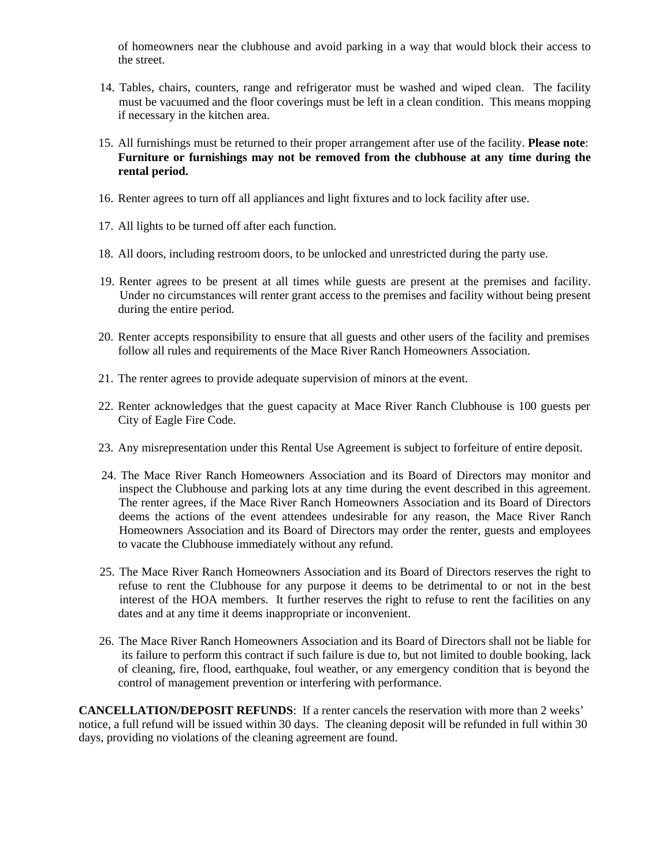of homeowners near the clubhouse and avoid parking in a way that would block their access to the street.

- 14. Tables, chairs, counters, range and refrigerator must be washed and wiped clean. The facility must be vacuumed and the floor coverings must be left in a clean condition. This means mopping if necessary in the kitchen area.
- 15. All furnishings must be returned to their proper arrangement after use of the facility. **Please note**: **Furniture or furnishings may not be removed from the clubhouse at any time during the rental period.**
- 16. Renter agrees to turn off all appliances and light fixtures and to lock facility after use.
- 17. All lights to be turned off after each function.
- 18. All doors, including restroom doors, to be unlocked and unrestricted during the party use.
- 19. Renter agrees to be present at all times while guests are present at the premises and facility. Under no circumstances will renter grant access to the premises and facility without being present during the entire period.
- 20. Renter accepts responsibility to ensure that all guests and other users of the facility and premises follow all rules and requirements of the Mace River Ranch Homeowners Association.
- 21. The renter agrees to provide adequate supervision of minors at the event.
- 22. Renter acknowledges that the guest capacity at Mace River Ranch Clubhouse is 100 guests per City of Eagle Fire Code.
- 23. Any misrepresentation under this Rental Use Agreement is subject to forfeiture of entire deposit.
- 24. The Mace River Ranch Homeowners Association and its Board of Directors may monitor and inspect the Clubhouse and parking lots at any time during the event described in this agreement. The renter agrees, if the Mace River Ranch Homeowners Association and its Board of Directors deems the actions of the event attendees undesirable for any reason, the Mace River Ranch Homeowners Association and its Board of Directors may order the renter, guests and employees to vacate the Clubhouse immediately without any refund.
- 25. The Mace River Ranch Homeowners Association and its Board of Directors reserves the right to refuse to rent the Clubhouse for any purpose it deems to be detrimental to or not in the best interest of the HOA members. It further reserves the right to refuse to rent the facilities on any dates and at any time it deems inappropriate or inconvenient.
- 26. The Mace River Ranch Homeowners Association and its Board of Directors shall not be liable for its failure to perform this contract if such failure is due to, but not limited to double booking, lack of cleaning, fire, flood, earthquake, foul weather, or any emergency condition that is beyond the control of management prevention or interfering with performance.

**CANCELLATION/DEPOSIT REFUNDS:** If a renter cancels the reservation with more than 2 weeks' notice, a full refund will be issued within 30 days. The cleaning deposit will be refunded in full within 30 days, providing no violations of the cleaning agreement are found.